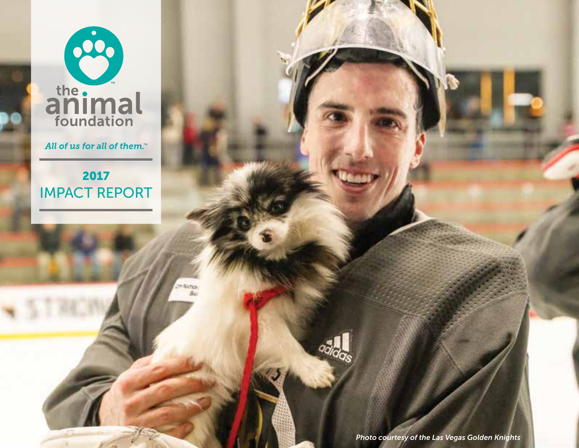

All of us for all of them.<sup>™</sup>

#### 2017 IMPACT REPORT

mkinai

*Photo courtesy of the Las Vegas Golden Knights*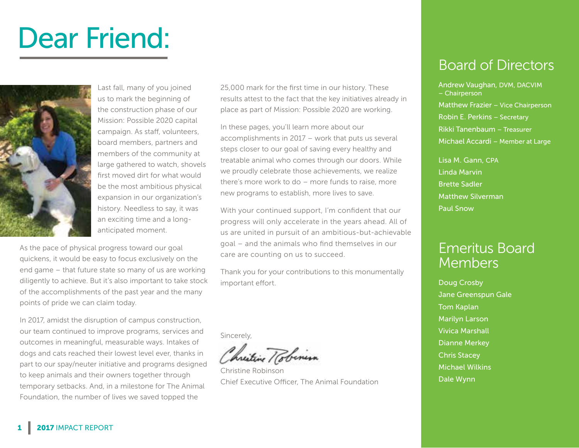### Dear Friend:



Last fall, many of you joined us to mark the beginning of the construction phase of our Mission: Possible 2020 capital campaign. As staff, volunteers, board members, partners and members of the community at large gathered to watch, shovels first moved dirt for what would be the most ambitious physical expansion in our organization's history. Needless to say, it was an exciting time and a longanticipated moment.

As the pace of physical progress toward our goal quickens, it would be easy to focus exclusively on the end game – that future state so many of us are working diligently to achieve. But it's also important to take stock of the accomplishments of the past year and the many points of pride we can claim today.

In 2017, amidst the disruption of campus construction, our team continued to improve programs, services and outcomes in meaningful, measurable ways. Intakes of dogs and cats reached their lowest level ever, thanks in part to our spay/neuter initiative and programs designed to keep animals and their owners together through temporary setbacks. And, in a milestone for The Animal Foundation, the number of lives we saved topped the

25,000 mark for the first time in our history. These results attest to the fact that the key initiatives already in place as part of Mission: Possible 2020 are working.

In these pages, you'll learn more about our accomplishments in 2017 – work that puts us several steps closer to our goal of saving every healthy and treatable animal who comes through our doors. While we proudly celebrate those achievements, we realize there's more work to do – more funds to raise, more new programs to establish, more lives to save.

With your continued support, I'm confident that our progress will only accelerate in the years ahead. All of us are united in pursuit of an ambitious-but-achievable goal – and the animals who find themselves in our care are counting on us to succeed.

Thank you for your contributions to this monumentally important effort.

Sincerely,

Christine Robinson Chief Executive Officer, The Animal Foundation

#### Board of Directors

Andrew Vaughan, DVM, DACVIM – Chairperson Matthew Frazier – Vice Chairperson Robin E. Perkins – Secretary Rikki Tanenbaum – Treasurer Michael Accardi – Member at Large

Lisa M. Gann, CPA Linda Marvin Brette Sadler Matthew Silverman Paul Snow

#### Emeritus Board **Members**

Doug Crosby Jane Greenspun Gale Tom Kaplan Marilyn Larson Vivica Marshall Dianne Merkey Chris Stacey Michael Wilkins Dale Wynn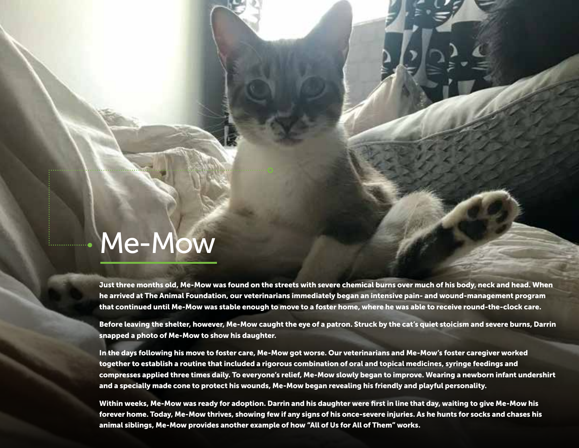## Me-Mow

Just three months old, Me-Mow was found on the streets with severe chemical burns over much of his body, neck and head. When he arrived at The Animal Foundation, our veterinarians immediately began an intensive pain- and wound-management program that continued until Me-Mow was stable enough to move to a foster home, where he was able to receive round-the-clock care.

Before leaving the shelter, however, Me-Mow caught the eye of a patron. Struck by the cat's quiet stoicism and severe burns, Darrin snapped a photo of Me-Mow to show his daughter.

In the days following his move to foster care, Me-Mow got worse. Our veterinarians and Me-Mow's foster caregiver worked together to establish a routine that included a rigorous combination of oral and topical medicines, syringe feedings and compresses applied three times daily. To everyone's relief, Me-Mow slowly began to improve. Wearing a newborn infant undershirt and a specially made cone to protect his wounds, Me-Mow began revealing his friendly and playful personality.

Within weeks, Me-Mow was ready for adoption. Darrin and his daughter were first in line that day, waiting to give Me-Mow his forever home. Today, Me-Mow thrives, showing few if any signs of his once-severe injuries. As he hunts for socks and chases his animal siblings, Me-Mow provides another example of how "All of Us for All of Them" works.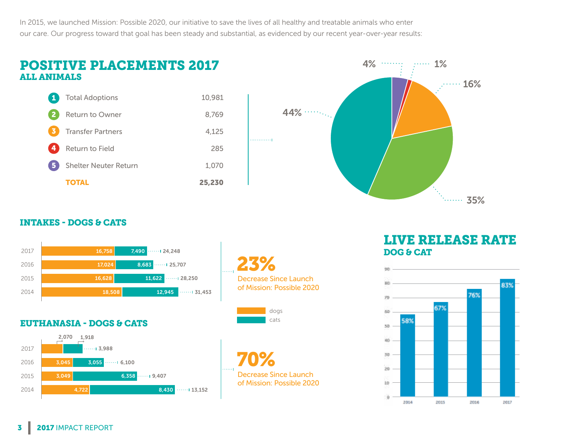In 2015, we launched Mission: Possible 2020, our initiative to save the lives of all healthy and treatable animals who enter our care. Our progress toward that goal has been steady and substantial, as evidenced by our recent year-over-year results:

#### POSITIVE PLACEMENTS 2017 ALL ANIMALS





#### INTAKES - DOGS & CATS



#### EUTHANASIA - DOGS & CATS



23% Decrease Since Launch of Mission: Possible 2020



70% Decrease Since Launch of Mission: Possible 2020

#### LIVE RELEASE RATE DOG & CAT

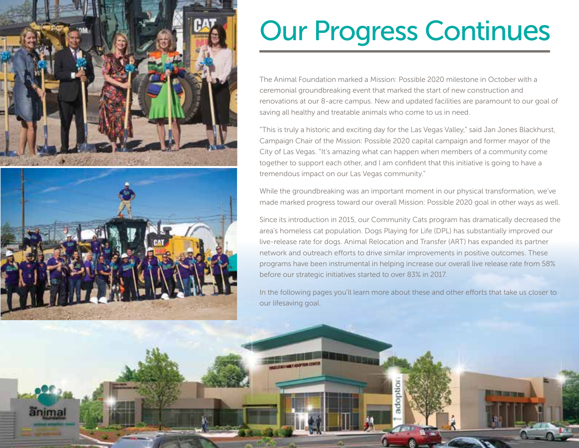



### Our Progress Continues

The Animal Foundation marked a Mission: Possible 2020 milestone in October with a ceremonial groundbreaking event that marked the start of new construction and renovations at our 8-acre campus. New and updated facilities are paramount to our goal of saving all healthy and treatable animals who come to us in need.

"This is truly a historic and exciting day for the Las Vegas Valley," said Jan Jones Blackhurst, Campaign Chair of the Mission: Possible 2020 capital campaign and former mayor of the City of Las Vegas. "It's amazing what can happen when members of a community come together to support each other, and I am confident that this initiative is going to have a tremendous impact on our Las Vegas community."

While the groundbreaking was an important moment in our physical transformation, we've made marked progress toward our overall Mission: Possible 2020 goal in other ways as well.

Since its introduction in 2015, our Community Cats program has dramatically decreased the area's homeless cat population. Dogs Playing for Life (DPL) has substantially improved our live-release rate for dogs. Animal Relocation and Transfer (ART) has expanded its partner network and outreach efforts to drive similar improvements in positive outcomes. These programs have been instrumental in helping increase our overall live release rate from 58% before our strategic initiatives started to over 83% in 2017.

In the following pages you'll learn more about these and other efforts that take us closer to our lifesaving goal.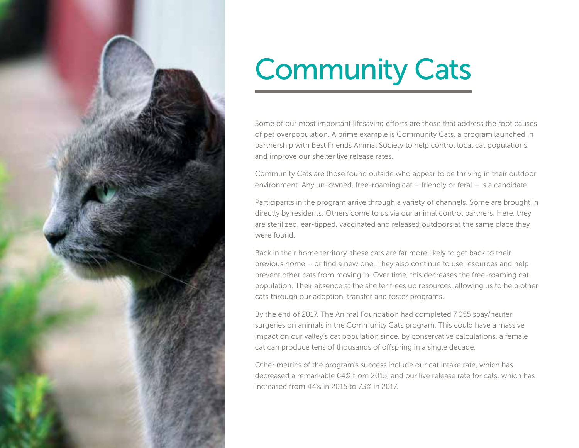

# Community Cats

Some of our most important lifesaving efforts are those that address the root causes of pet overpopulation. A prime example is Community Cats, a program launched in partnership with Best Friends Animal Society to help control local cat populations and improve our shelter live release rates.

Community Cats are those found outside who appear to be thriving in their outdoor environment. Any un-owned, free-roaming cat – friendly or feral – is a candidate.

Participants in the program arrive through a variety of channels. Some are brought in directly by residents. Others come to us via our animal control partners. Here, they are sterilized, ear-tipped, vaccinated and released outdoors at the same place they were found.

Back in their home territory, these cats are far more likely to get back to their previous home – or find a new one. They also continue to use resources and help prevent other cats from moving in. Over time, this decreases the free-roaming cat population. Their absence at the shelter frees up resources, allowing us to help other cats through our adoption, transfer and foster programs.

By the end of 2017, The Animal Foundation had completed 7,055 spay/neuter surgeries on animals in the Community Cats program. This could have a massive impact on our valley's cat population since, by conservative calculations, a female cat can produce tens of thousands of offspring in a single decade.

Other metrics of the program's success include our cat intake rate, which has decreased a remarkable 64% from 2015, and our live release rate for cats, which has increased from 44% in 2015 to 73% in 2017.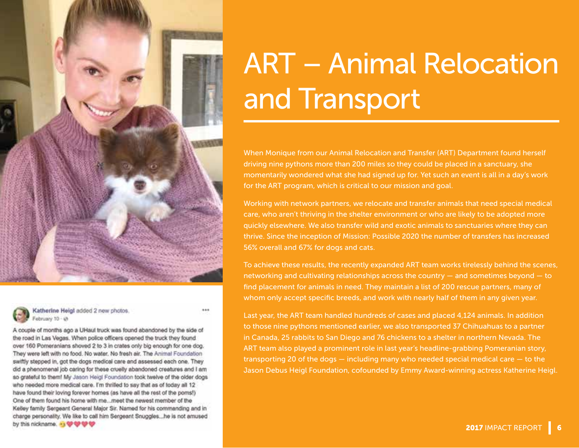

#### Katherine Heigl added 2 new photos. February 10 - @

A couple of months ago a UHaul truck was found abandoned by the side of the road in Las Vegas. When police officers opened the truck they found over 160 Pomeranians shoved 2 to 3 in crates only big enough for one dog. They were left with no food. No water. No fresh air. The Animal Foundation swiftly stepped in, got the dogs medical care and assessed each one. They did a phenomenal job caring for these cruelly abandoned creatures and I am so grateful to them! My Jason Heigi Foundation took twelve of the older dogs who needed more medical care. I'm thrilled to say that as of today all 12 have found their loving forever homes (as have all the rest of the poms!) One of them found his home with me...meet the newest member of the Kelley family Sergeant General Major Sir. Named for his commanding and in charge personality. We like to call him Sergeant Snuggles...he is not amused by this nickname. ... . . . .

# ART – Animal Relocation and Transport

When Monique from our Animal Relocation and Transfer (ART) Department found herself driving nine pythons more than 200 miles so they could be placed in a sanctuary, she momentarily wondered what she had signed up for. Yet such an event is all in a day's work for the ART program, which is critical to our mission and goal.

Working with network partners, we relocate and transfer animals that need special medical care, who aren't thriving in the shelter environment or who are likely to be adopted more quickly elsewhere. We also transfer wild and exotic animals to sanctuaries where they can thrive. Since the inception of Mission: Possible 2020 the number of transfers has increased 56% overall and 67% for dogs and cats.

To achieve these results, the recently expanded ART team works tirelessly behind the scenes, networking and cultivating relationships across the country  $-$  and sometimes beyond  $-$  to find placement for animals in need. They maintain a list of 200 rescue partners, many of whom only accept specific breeds, and work with nearly half of them in any given year.

Last year, the ART team handled hundreds of cases and placed 4,124 animals. In addition to those nine pythons mentioned earlier, we also transported 37 Chihuahuas to a partner in Canada, 25 rabbits to San Diego and 76 chickens to a shelter in northern Nevada. The ART team also played a prominent role in last year's headline-grabbing Pomeranian story, transporting 20 of the dogs — including many who needed special medical care — to the Jason Debus Heigl Foundation, cofounded by Emmy Award-winning actress Katherine Heigl.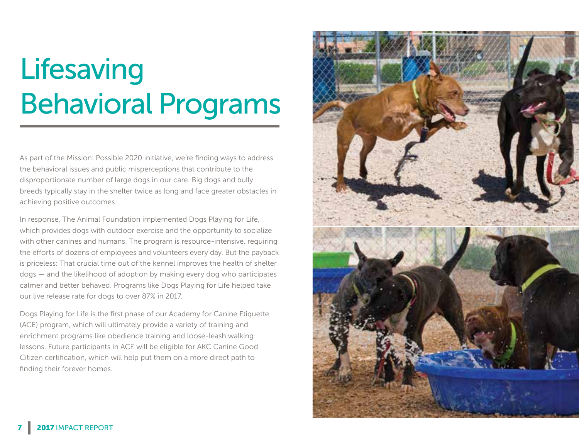# **Lifesaving** Behavioral Programs

As part of the Mission: Possible 2020 initiative, we're finding ways to address the behavioral issues and public misperceptions that contribute to the disproportionate number of large dogs in our care. Big dogs and bully breeds typically stay in the shelter twice as long and face greater obstacles in achieving positive outcomes.

In response, The Animal Foundation implemented Dogs Playing for Life, which provides dogs with outdoor exercise and the opportunity to socialize with other canines and humans. The program is resource-intensive, requiring the efforts of dozens of employees and volunteers every day. But the payback is priceless: That crucial time out of the kennel improves the health of shelter dogs — and the likelihood of adoption by making every dog who participates calmer and better behaved. Programs like Dogs Playing for Life helped take our live release rate for dogs to over 87% in 2017.

Dogs Playing for Life is the first phase of our Academy for Canine Etiquette (ACE) program, which will ultimately provide a variety of training and enrichment programs like obedience training and loose-leash walking lessons. Future participants in ACE will be eligible for AKC Canine Good Citizen certification, which will help put them on a more direct path to finding their forever homes.

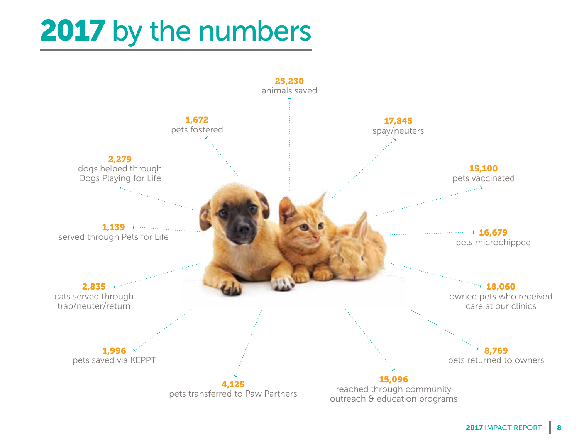### 2017 by the numbers

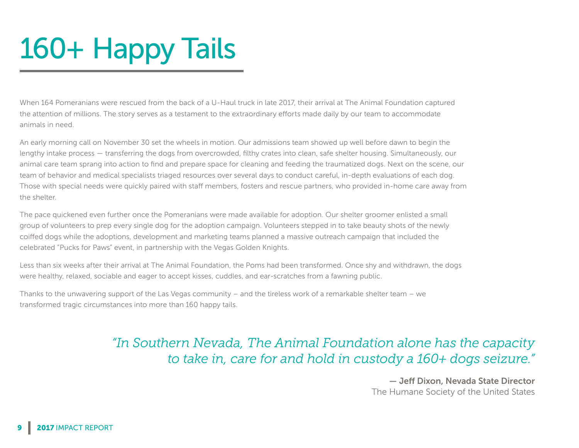# 160+ Happy Tails

When 164 Pomeranians were rescued from the back of a U-Haul truck in late 2017, their arrival at The Animal Foundation captured the attention of millions. The story serves as a testament to the extraordinary efforts made daily by our team to accommodate animals in need.

An early morning call on November 30 set the wheels in motion. Our admissions team showed up well before dawn to begin the lengthy intake process — transferring the dogs from overcrowded, filthy crates into clean, safe shelter housing. Simultaneously, our animal care team sprang into action to find and prepare space for cleaning and feeding the traumatized dogs. Next on the scene, our team of behavior and medical specialists triaged resources over several days to conduct careful, in-depth evaluations of each dog. Those with special needs were quickly paired with staff members, fosters and rescue partners, who provided in-home care away from the shelter.

The pace quickened even further once the Pomeranians were made available for adoption. Our shelter groomer enlisted a small group of volunteers to prep every single dog for the adoption campaign. Volunteers stepped in to take beauty shots of the newly coiffed dogs while the adoptions, development and marketing teams planned a massive outreach campaign that included the celebrated "Pucks for Paws" event, in partnership with the Vegas Golden Knights.

Less than six weeks after their arrival at The Animal Foundation, the Poms had been transformed. Once shy and withdrawn, the dogs were healthy, relaxed, sociable and eager to accept kisses, cuddles, and ear-scratches from a fawning public.

Thanks to the unwavering support of the Las Vegas community – and the tireless work of a remarkable shelter team – we transformed tragic circumstances into more than 160 happy tails.

#### *"In Southern Nevada, The Animal Foundation alone has the capacity to take in, care for and hold in custody a 160+ dogs seizure."*

— Jeff Dixon, Nevada State Director The Humane Society of the United States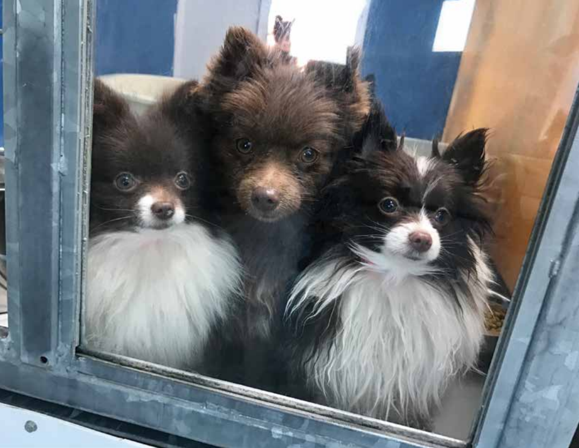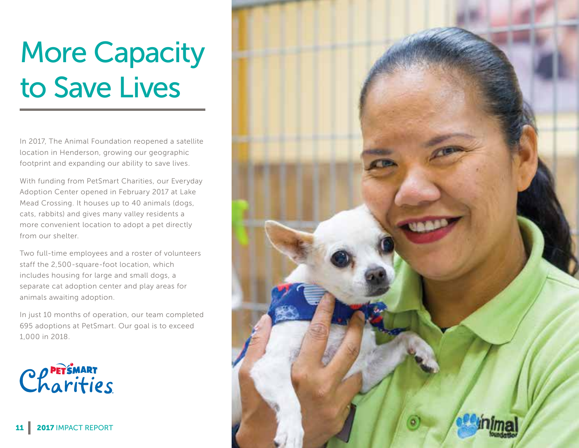# More Capacity to Save Lives

In 2017, The Animal Foundation reopened a satellite location in Henderson, growing our geographic footprint and expanding our ability to save lives.

With funding from PetSmart Charities, our Everyday Adoption Center opened in February 2017 at Lake Mead Crossing. It houses up to 40 animals (dogs, cats, rabbits) and gives many valley residents a more convenient location to adopt a pet directly from our shelter.

Two full-time employees and a roster of volunteers staff the 2,500-square-foot location, which includes housing for large and small dogs, a separate cat adoption center and play areas for animals awaiting adoption.

In just 10 months of operation, our team completed 695 adoptions at PetSmart. Our goal is to exceed 1,000 in 2018.



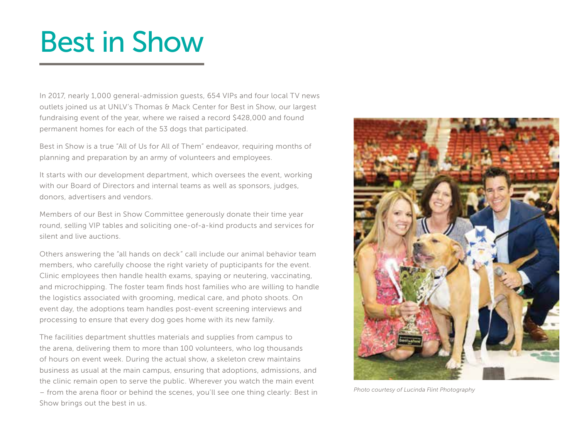### Best in Show

In 2017, nearly 1,000 general-admission guests, 654 VIPs and four local TV news outlets joined us at UNLV's Thomas & Mack Center for Best in Show, our largest fundraising event of the year, where we raised a record \$428,000 and found permanent homes for each of the 53 dogs that participated.

Best in Show is a true "All of Us for All of Them" endeavor, requiring months of planning and preparation by an army of volunteers and employees.

It starts with our development department, which oversees the event, working with our Board of Directors and internal teams as well as sponsors, judges, donors, advertisers and vendors.

Members of our Best in Show Committee generously donate their time year round, selling VIP tables and soliciting one-of-a-kind products and services for silent and live auctions.

Others answering the "all hands on deck" call include our animal behavior team members, who carefully choose the right variety of pupticipants for the event. Clinic employees then handle health exams, spaying or neutering, vaccinating, and microchipping. The foster team finds host families who are willing to handle the logistics associated with grooming, medical care, and photo shoots. On event day, the adoptions team handles post-event screening interviews and processing to ensure that every dog goes home with its new family.

The facilities department shuttles materials and supplies from campus to the arena, delivering them to more than 100 volunteers, who log thousands of hours on event week. During the actual show, a skeleton crew maintains business as usual at the main campus, ensuring that adoptions, admissions, and the clinic remain open to serve the public. Wherever you watch the main event – from the arena floor or behind the scenes, you'll see one thing clearly: Best in Show brings out the best in us.



*Photo courtesy of Lucinda Flint Photography*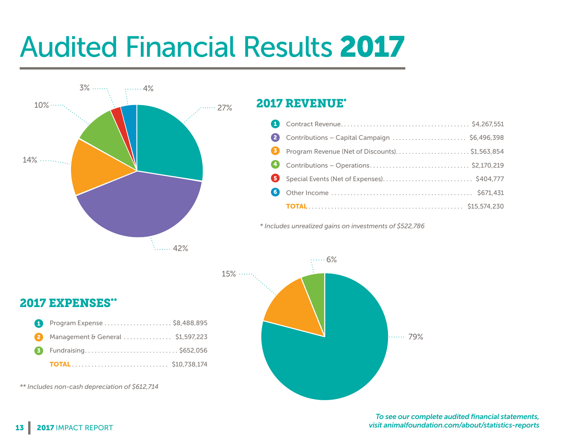## Audited Financial Results 2017



#### 2017 REVENUE\*

*\* Includes unrealized gains on investments of \$522,786*



#### 2017 EXPENSES\*\*

| <b>2</b> Management & General  \$1,597,223 |
|--------------------------------------------|
|                                            |
|                                            |

*\*\* Includes non-cash depreciation of \$612,714*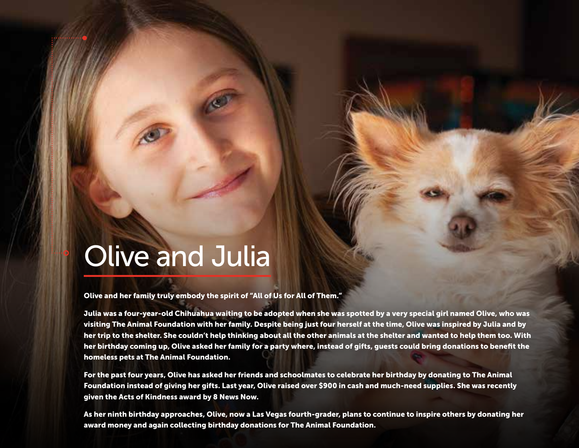### Olive and Julia

Olive and her family truly embody the spirit of "All of Us for All of Them."

Julia was a four-year-old Chihuahua waiting to be adopted when she was spotted by a very special girl named Olive, who was visiting The Animal Foundation with her family. Despite being just four herself at the time, Olive was inspired by Julia and by her trip to the shelter. She couldn't help thinking about all the other animals at the shelter and wanted to help them too. With her birthday coming up, Olive asked her family for a party where, instead of gifts, guests could bring donations to benefit the homeless pets at The Animal Foundation.

For the past four years, Olive has asked her friends and schoolmates to celebrate her birthday by donating to The Animal Foundation instead of giving her gifts. Last year, Olive raised over \$900 in cash and much-need supplies. She was recently given the Acts of Kindness award by 8 News Now.

As her ninth birthday approaches, Olive, now a Las Vegas fourth-grader, plans to continue to inspire others by donating her award money and again collecting birthday donations for The Animal Foundation.